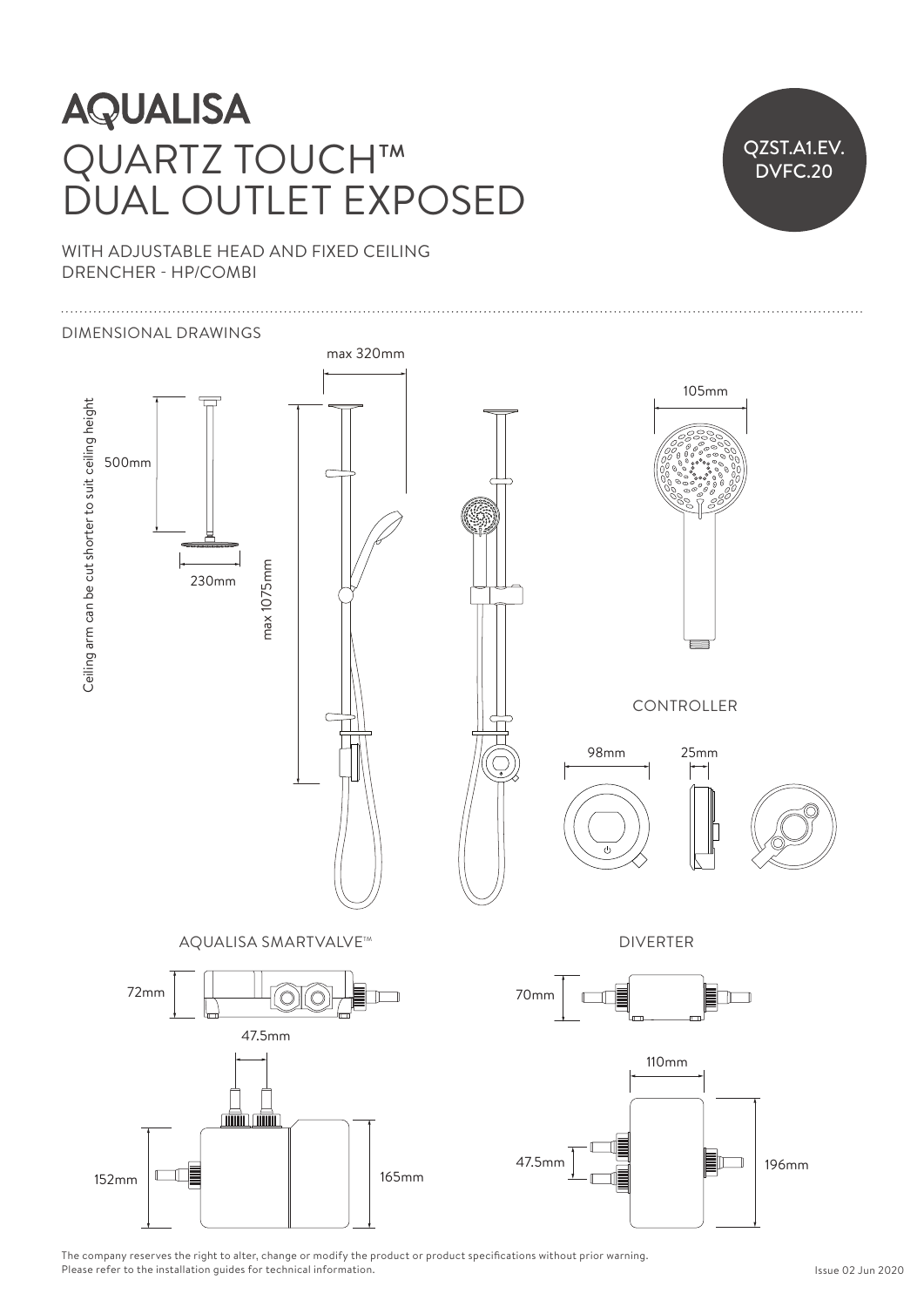### **AQUALISA**  $\sum_{i=1}^{n}$ QUARTZ TOUCH™ DUAL OUTLET EXPOSED

# QZST.A1.EV. .<br>DVFC.20

42mm

WITH ADJUSTABLE HEAD AND FIXED CEILING DRENCHER - HP/COMBI

#### Ceiling arm can be cut shorter to suit ceiling height 97mm DIMENSIONAL DRAWINGS max 320mm 105mm Ceiling arm can be cut shorter to suit ceiling height  $\begin{bmatrix} 1 \\ 1 \\ 2 \end{bmatrix}$ HP Ceiling arm can be cut shorter to suit ceiling height HP 250mm 450mm 250mm 500mm  $\overline{\phantom{a}}$ max 350mm  $72$ **30mm**  $\sigma$ 70mm 47.5mm 230mm 450mm  $\overline{a}$ max 1075mm max 1075mm  $\mathbf{L}$ max 350mm  $\Box$  CONTROLLER 152mm 165mm 165mm 165mm 165mm 165mm 165mm 165mm 165mm 165mm 165mm 165mm 165mm 165mm 165mm 165mm 165mm 165mm 16 865mm 47.5mm 196mm  $\left| \begin{array}{c} \text{15.1} \end{array} \right|$ 98mm 25mm 25mm 70mm  $\begin{array}{ccc} \begin{array}{ccc} \end{array} & \begin{array}{ccc} \end{array} & \begin{array}{ccc} \end{array} & \begin{array}{ccc} \end{array} & \begin{array}{ccc} \end{array} & \begin{array}{ccc} \end{array} & \begin{array}{ccc} \end{array} & \begin{array}{ccc} \end{array} & \begin{array}{ccc} \end{array} & \begin{array}{ccc} \end{array} & \begin{array}{ccc} \end{array} & \begin{array}{ccc} \end{array} & \begin{array}{ccc} \end{array} & \begin{array}{ccc} \end{array} & \begin{array}{ccc} \end{array} & \begin{array}{ccc} \end{array} & \begin{array}{$  $\sqrt{2}$ 700 M DIVERTER AQUALISA SMARTVALVE™  $\overline{a}$  $\overline{a}$ 445mm  $\overline{1}$ 70mm 72mm 70mm 70mm  $\overline{\phantom{a}}$  $\gamma$  -  $\gamma$  denotes the  $\gamma$ max 370mm 183mm 47.5mm  $\overline{\phantom{a}}$ 110mm 110mm 110mm  $\rightarrow$ max 370mm 47.5mm  $\Box$  196mm  $152 \text{mm}$   $\Box$ 47.5mm 196mm 47.5mm 196mm  $\overline{\phantom{a}}$ 152mm 165mm

The company reserves the right to alter, change or modify the product or product specifications without prior warning. The company reserves the right to alter, change or mourry the p<br>Please refer to the installation guides for technical information.  $\begin{bmatrix} 1 \\ P \end{bmatrix}$